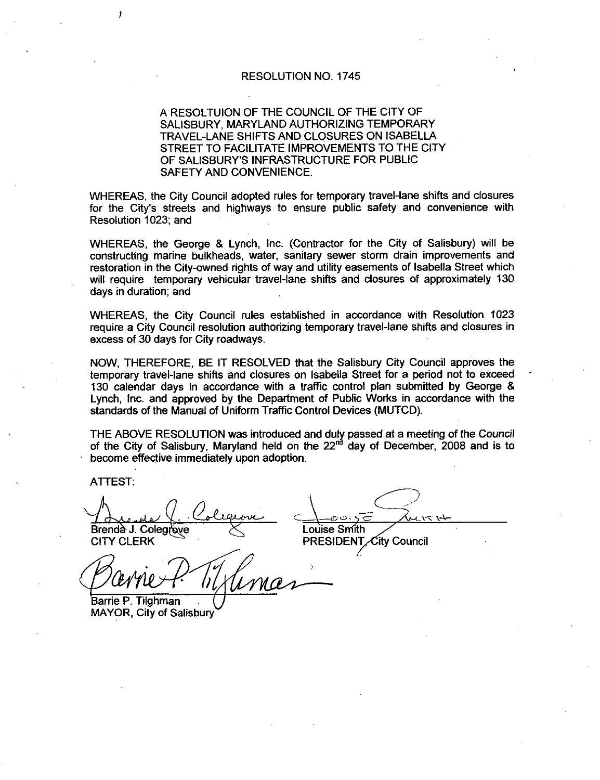### RESOLUTION NO. 1745

# A RESOLTUION OF THE COUNCIL OF THE CITY OF SALISBURY, MARYLAND AUTHORIZING TEMPORARY<br>TRAVEL-LANE SHIFTS AND CLOSURES ON ISABELLA STREET TO FACILITATE IMPROVEMENTS TO THE CITY TRAVEL-LANE SHIFTS AND CLOSURES ON ISABELLA<br>STREET TO FACILITATE IMPROVEMENTS TO THE CIT<br>OF SALISBURY'S INFRASTRUCTURE FOR PUBLIC SAFETY AND CONVENIENCE

WHEREAS, the City Council adopted rules for temporary travel-lane shifts and closures<br>for the City's streets and highways to ensure public safety and convenience with<br>Resolution 1023; and for the City's streets and highways to ensure public safety and convenience with Resolution 1023; and

WHEREAS, the George & Lynch, Inc. (Contractor for the City of Salisbury) will be constructing marine bulkheads, water, sanitary sewer storm drain improvements and<br>restoration in the City-owned rights of way and utility easements of Isabella Street which<br>will require, temporary vehicular travel-lane shi restoration in the City-owned rights of way and utility easements of Isabella Street which<br>will require temporary vehicular travel-lane shifts and closures of approximately 130 days in duration; and

WHEREAS the City Council rules established in accordance with Resolution 1023 require a City Council resolution authorizing temporary travel-lane shifts and closures in excess of 30 days for City roadways

NOW, THEREFORE, BE IT RESOLVED that the Salisbury City Council approves the NOW, THEREFORE, BE IT RESOLVED that the Salisbury City Council approves the<br>temporary travel-lane shifts and closures on Isabella Street for a period not to exceed 130 calendar days in accordance with a traffic control plan submitted by George & Lynch Inc and approved by the Department of Public Works in accordance with the standards of the Manual of Uniform Traffic Control Devices (MUTCD).

THE ABOVE RESOLUTION was introduced and duly passed at <sup>a</sup> meeting of the Council of the City of Salisbury, Maryland held on the 22<sup>nd</sup> day of December, 2008 and is to become effective immediately upon adoption

ATTEST

Ŧ

Brendà J. Colegrove  $X$  Louise Smith

**CITY CLERK** 

PRESIDENT City Council

 $k_4$ 

Barrie P. Tilghman MAYOR, City of Salisbury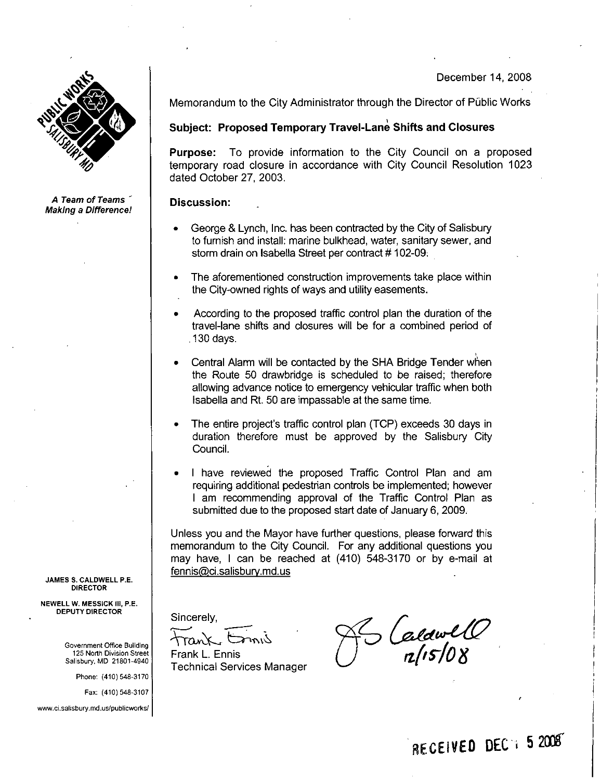#### December 14, 2008



A Team of Teams **Making a Difference!** 

Memorandum to the City Administrator through the Director of Public Works

## Subject: Proposed Temporary Travel-Lane Shifts and Closures

Purpose: To provide information to the City Council on a proposed temporary road closure in accordance with City Council Resolution 1023 dated October 27 2003

#### Discussion:

- George & Lynch, Inc. has been contracted by the City of Salisbury bedige a Lynch, me. has been contracted by the orty of ballistary<br>to furnish and install: marine bulkhead, water, sanitary sewer, and<br>storm drain on Isabella Street per contract # 102-09.
- The aforementioned construction improvements take place within the City-owned rights of ways and utility easements.
- According to the proposed traffic control plan the duration of the travel-lane shifts and closures will be for a combined period of 130 days
- Central Alarm will be contacted by the SHA Bridge Tender when the Route 50 drawbridge is scheduled to be raised; therefore allowing advance notice to emergency vehicular traffic when both Isabella and Rt. 50 are impassable at the same time. The Route 50 drawbridge is scheduled to be raised; therefore<br>allowing advance notice to emergency vehicular traffic when both<br>Isabella and Rt. 50 are impassable at the same time.<br>The entire project's traffic control plan (
- Council
- <sup>I</sup> have reviewed the proposed Traffic Control Plan and am requiring additional pedestrian controls be implemented; however <sup>I</sup> am recommending approval of the Traffic Control Plan as submitted due to the proposed start date of January 6, 2009.

Unless you and the Mayor have further questions, please forward this memorandum to the City Council. For any additional questions you may have, I can be reached at (410) 548-3170 or by e-mail at fennis@ci.salisbury.md.us requiring additional peo-<br>
1 am recommending<br>
submitted due to the provent<br>
Unless you and the Mayor<br>
memorandum to the City (<br>
may have, 1 can be read<br>
fennis@ci.salisbury.md.us

Sincerely.

Frank L. Ennis Technical Services Manager

awl<br>G<br>i5/08 aldwll<br><sub>2ldw</sub>ll<br>n[15|08

JAMES S. CALDWELL P.E. DIRECTOR

NEWELL W. MESSICK III, P.E. DEPUTY DIRECTOR

> Government Office Building 125 North Division Street Salisbury MD 21801 4940

> > Phone: (410) 548-3170

Fax: (410) 548-3107

www.ci.salisbury.md.us/publicworks/

RECEIVED DEC 1 5 2008